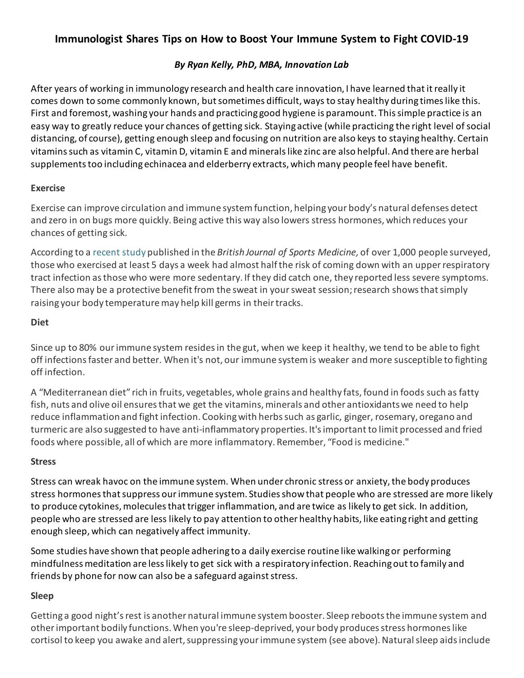# **Immunologist Shares Tips on How to Boost Your Immune System to Fight COVID-19**

## *By Ryan Kelly, PhD, MBA, Innovation Lab*

After years of working in immunology research and health care innovation, I have learned that it really it comes down to some commonly known, but sometimes difficult, ways to stay healthy during times like this. First and foremost, washing your hands and practicing good hygiene is paramount. This simple practice is an easy way to greatly reduce your chances of getting sick. Staying active (while practicing the right level of social distancing, of course), getting enough sleep and focusing on nutrition are also keys to stayinghealthy. Certain vitamins such as vitamin C, vitamin D, vitamin E and minerals like zinc are also helpful. And there are herbal supplements too including echinacea and elderberry extracts, which many people feel have benefit.

## **Exercise**

Exercise can improve circulation and immune system function, helping your body's natural defenses detect and zero in on bugs more quickly. Being active this way also lowers stress hormones, which reduces your chances of getting sick.

According to a [recent study](https://bjsm.bmj.com/content/45/12/987.abstract?sid=e6594508-3aaa-4c61-99ba-4ea138580947) published in the *British Journal of Sports Medicine,* of over 1,000 people surveyed, those who exercised at least 5 days a week had almost half the risk of coming down with an upper respiratory tract infection as those who were more sedentary. If they did catch one, they reported less severe symptoms. There also may be a protective benefit from the sweat in your sweat session; research showsthat simply raising your body temperature may help kill germs in their tracks.

#### **Diet**

Since up to 80% ourimmune system resides in the gut, when we keep it healthy, we tend to be able to fight off infections faster and better. When it's not, our immune system is weaker and more susceptible to fighting off infection.

A "Mediterranean diet" rich in fruits, vegetables, whole grains and healthy fats, found in foods such as fatty fish, nuts and olive oil ensures that we get the vitamins, minerals and other antioxidants we need to help reduce inflammation and fight infection. Cooking with herbs such as garlic, ginger, rosemary, oregano and turmeric are also suggested to have anti-inflammatory properties. It's important to limit processed and fried foods where possible, all of which are more inflammatory. Remember, "Food is medicine."

## **Stress**

Stress can wreak havoc on the immune system. When under chronic stress or anxiety, the body produces stress hormones that suppress our immune system. Studies showthat people who are stressed are more likely to produce cytokines, molecules that trigger inflammation, and are twice as likely to get sick. In addition, people who are stressed are less likely to pay attention to other healthy habits, like eating right and getting enough sleep, which can negatively affect immunity.

Some studies have shown that people adhering to a daily exercise routine like walkingor performing mindfulness meditation are less likely to get sick with a respiratory infection. [Reaching out to family and](https://jamanetwork.com/journals/jama/article-abstract/417085)  [friends by phone for now](https://jamanetwork.com/journals/jama/article-abstract/417085) can also be a safeguard against stress.

## **Sleep**

Getting a good night's rest is another natural immune system booster. Sleep reboots the immune system and other important bodily functions. When you're sleep-deprived, your body producesstress hormones like cortisol to keep you awake and alert, suppressing your immune system (see above). Natural sleep aids include